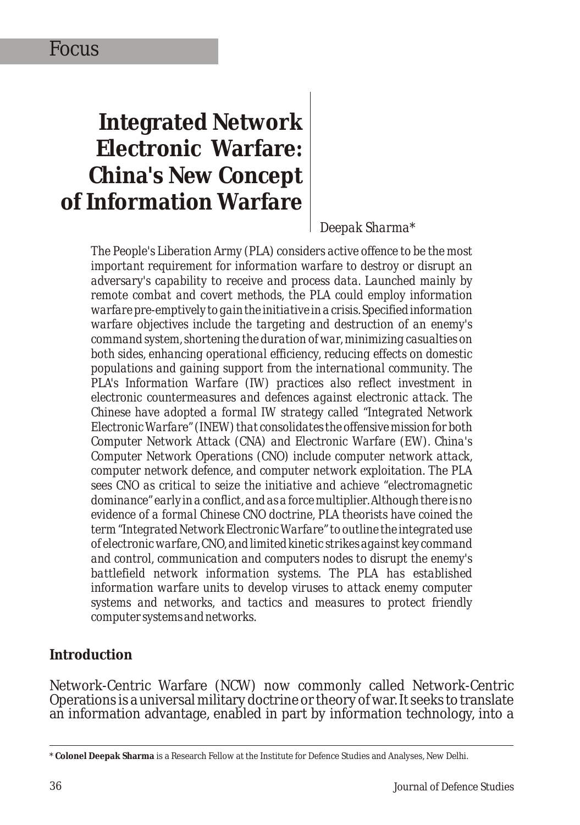# **Integrated Network Electronic Warfare: China's New Concept of Information Warfare**

### *Deepak Sharma\**

*The People's Liberation Army (PLA) considers active offence to be the most important requirement for information warfare to destroy or disrupt an adversary's capability to receive and process data. Launched mainly by remote combat and covert methods, the PLA could employ information warfare pre-emptively to gain the initiative in a crisis. Specified information warfare objectives include the targeting and destruction of an enemy's command system, shortening the duration of war, minimizing casualties on both sides, enhancing operational efficiency, reducing effects on domestic populations and gaining support from the international community. The PLA's Information Warfare (IW) practices also reflect investment in electronic countermeasures and defences against electronic attack. The Chinese have adopted a formal IW strategy called "Integrated Network Electronic Warfare" (INEW) that consolidates the offensive mission for both Computer Network Attack (CNA) and Electronic Warfare (EW). China's Computer Network Operations (CNO) include computer network attack, computer network defence, and computer network exploitation. The PLA sees CNO as critical to seize the initiative and achieve "electromagnetic dominance" early in a conflict, and as a force multiplier. Although there is no evidence of a formal Chinese CNO doctrine, PLA theorists have coined the term "Integrated Network Electronic Warfare" to outline the integrated use of electronic warfare, CNO, and limited kinetic strikes against key command and control, communication and computers nodes to disrupt the enemy's battlefield network information systems. The PLA has established information warfare units to develop viruses to attack enemy computer systems and networks, and tactics and measures to protect friendly computer systems and networks.* 

#### **Introduction**

Network-Centric Warfare (NCW) now commonly called Network-Centric Operations is a universal military doctrine or theory of war. It seeks to translate an information advantage, enabled in part by information technology, into a

<sup>\*</sup> **Colonel Deepak Sharma** is a Research Fellow at the Institute for Defence Studies and Analyses, New Delhi.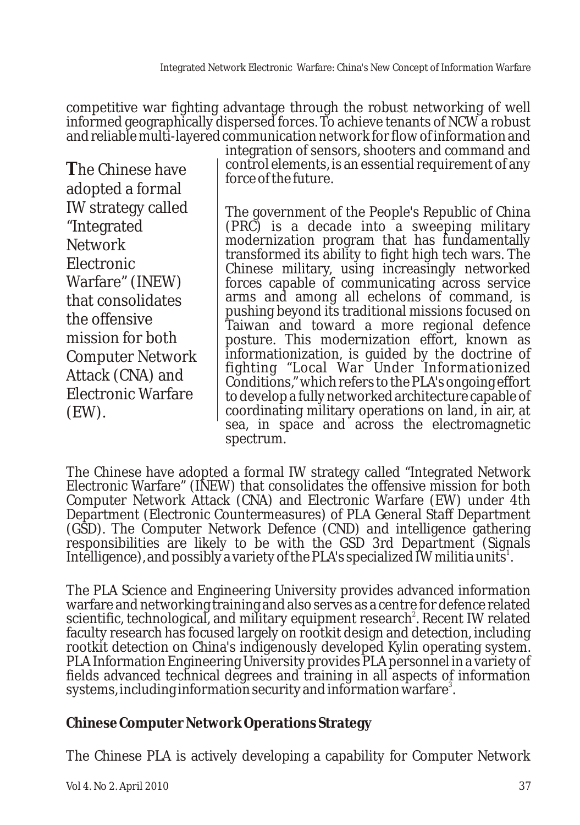competitive war fighting advantage through the robust networking of well informed geographically dispersed forces. To achieve tenants of NCW a robust and reliable multi-layered communication network for flow of information and

**T**he Chinese have adopted a formal IW strategy called "Integrated Network Electronic Warfare" (INEW) that consolidates the offensive mission for both Computer Network Attack (CNA) and Electronic Warfare (EW).

integration of sensors, shooters and command and control elements, is an essential requirement of any force of the future.

The government of the People's Republic of China (PRC) is a decade into a sweeping military modernization program that has fundamentally transformed its ability to fight high tech wars. The Chinese military, using increasingly networked forces capable of communicating across service arms and among all echelons of command, is pushing beyond its traditional missions focused on Taiwan and toward a more regional defence posture. This modernization effort, known as informationization, is guided by the doctrine of fighting "Local War Under Informationized Conditions," which refers to the PLA's ongoing effort to develop a fully networked architecture capable of coordinating military operations on land, in air, at sea, in space and across the electromagnetic spectrum.

The Chinese have adopted a formal IW strategy called "Integrated Network Electronic Warfare" (INEW) that consolidates the offensive mission for both Computer Network Attack (CNA) and Electronic Warfare (EW) under 4th Department (Electronic Countermeasures) of PLA General Staff Department (GSD). The Computer Network Defence (CND) and intelligence gathering responsibilities are likely to be with the GSD 3rd Department (Signals Intelligence), and possibly a variety of the PLA's specialized IW militia units $^1$ .

The PLA Science and Engineering University provides advanced information warfare and networking training and also serves as a centre for defence related scientific, technological, and military equipment research $\degree$ . Recent IW related faculty research has focused largely on rootkit design and detection, including rootkit detection on China's indigenously developed Kylin operating system. PLA Information Engineering University provides PLA personnel in a variety of fields advanced technical degrees and training in all aspects of information systems, including information security and information warfare $^{\rm 3}$ .

**Chinese Computer Network Operations Strategy**

The Chinese PLA is actively developing a capability for Computer Network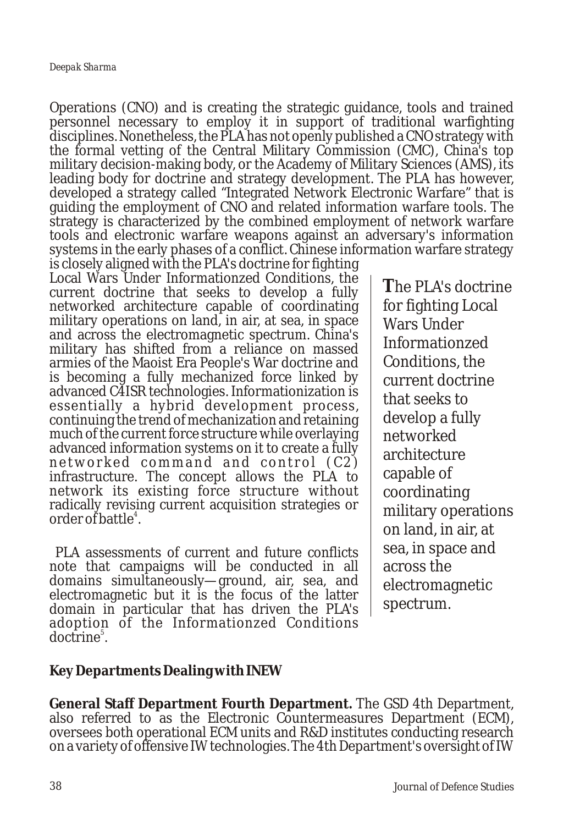Operations (CNO) and is creating the strategic guidance, tools and trained personnel necessary to employ it in support of traditional warfighting disciplines. Nonetheless, the PLA has not openly published a CNO strategy with the formal vetting of the Central Military Commission (CMC), China's top military decision-making body, or the Academy of Military Sciences (AMS), its leading body for doctrine and strategy development. The PLA has however, developed a strategy called "Integrated Network Electronic Warfare" that is guiding the employment of CNO and related information warfare tools. The strategy is characterized by the combined employment of network warfare tools and electronic warfare weapons against an adversary's information systems in the early phases of a conflict. Chinese information warfare strategy

is closely aligned with the PLA's doctrine for fighting Local Wars Under Informationzed Conditions, the current doctrine that seeks to develop a fully networked architecture capable of coordinating military operations on land, in air, at sea, in space and across the electromagnetic spectrum. China's military has shifted from a reliance on massed armies of the Maoist Era People's War doctrine and is becoming a fully mechanized force linked by advanced C4ISR technologies. Informationization is essentially a hybrid development process, continuing the trend of mechanization and retaining much of the current force structure while overlaying advanced information systems on it to create a fully networked command and control  $(C2)$ infrastructure. The concept allows the PLA to network its existing force structure without radically revising current acquisition strategies or order of battle<sup>4</sup>.

PLA assessments of current and future conflicts note that campaigns will be conducted in all domains simultaneously—ground, air, sea, and electromagnetic but it is the focus of the latter domain in particular that has driven the PLA's adoption of the Informationzed Conditions doctrine<sup>5</sup>.

**T**he PLA's doctrine for fighting Local Wars Under Informationzed Conditions, the current doctrine that seeks to develop a fully networked architecture capable of coordinating military operations on land, in air, at sea, in space and across the electromagnetic spectrum.

## **Key Departments Dealing with INEW**

**General Staff Department Fourth Department.** The GSD 4th Department, also referred to as the Electronic Countermeasures Department (ECM), oversees both operational ECM units and R&D institutes conducting research on a variety of offensive IW technologies. The 4th Department's oversight of IW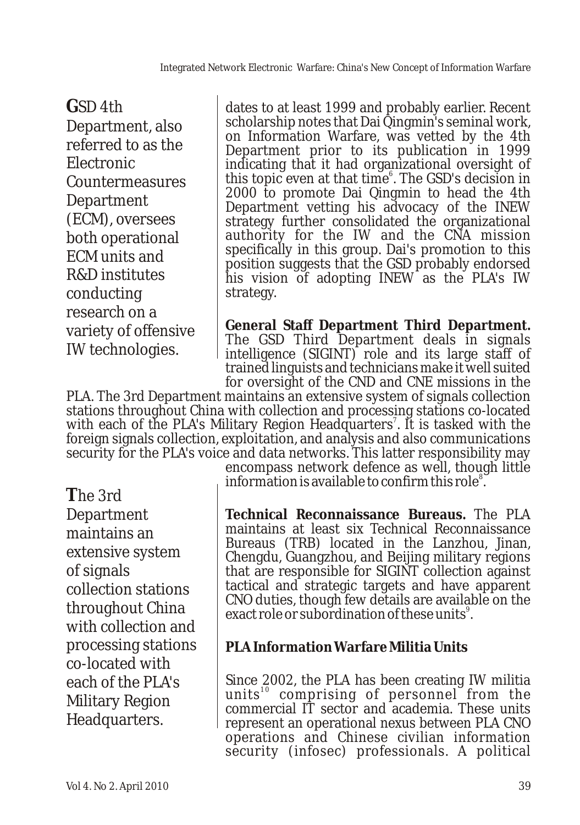**G**SD 4th Department, also referred to as the Electronic Countermeasures Department (ECM), oversees both operational ECM units and R&D institutes conducting research on a variety of offensive IW technologies.

dates to at least 1999 and probably earlier. Recent scholarship notes that Dai Qingmin's seminal work, on Information Warfare, was vetted by the 4th Department prior to its publication in 1999 indicating that it had organizational oversight of this topic even at that time<sup>6</sup>. The GSD's decision in 2000 to promote Dai Qingmin to head the 4th Department vetting his advocacy of the INEW strategy further consolidated the organizational authority for the IW and the CNA mission specifically in this group. Dai's promotion to this position suggests that the GSD probably endorsed his vision of adopting INEW as the PLA's IW strategy.

**General Staff Department Third Department.**  The GSD Third Department deals in signals intelligence (SIGINT) role and its large staff of trained linguists and technicians make it well suited for oversight of the CND and CNE missions in the

PLA. The 3rd Department maintains an extensive system of signals collection stations throughout China with collection and processing stations co-located with each of the PLA's Military Region Headquarters'. It is tasked with the foreign signals collection, exploitation, and analysis and also communications security for the PLA's voice and data networks. This latter responsibility may

**T**he 3rd Department maintains an extensive system of signals collection stations throughout China with collection and processing stations co-located with each of the PLA's Military Region Headquarters.

encompass network defence as well, though little information is available to confirm this role<sup>8</sup>.

**Technical Reconnaissance Bureaus.** The PLA maintains at least six Technical Reconnaissance Bureaus (TRB) located in the Lanzhou, Jinan, Chengdu, Guangzhou, and Beijing military regions that are responsible for SIGINT collection against tactical and strategic targets and have apparent CNO duties, though few details are available on the exact role or subordination of these units<sup>9</sup>.

**PLA Information Warfare Militia Units**

Since 2002, the PLA has been creating IW militia units $^{10}$  comprising of personnel from the commercial IT sector and academia. These units represent an operational nexus between PLA CNO operations and Chinese civilian information security (infosec) professionals. A political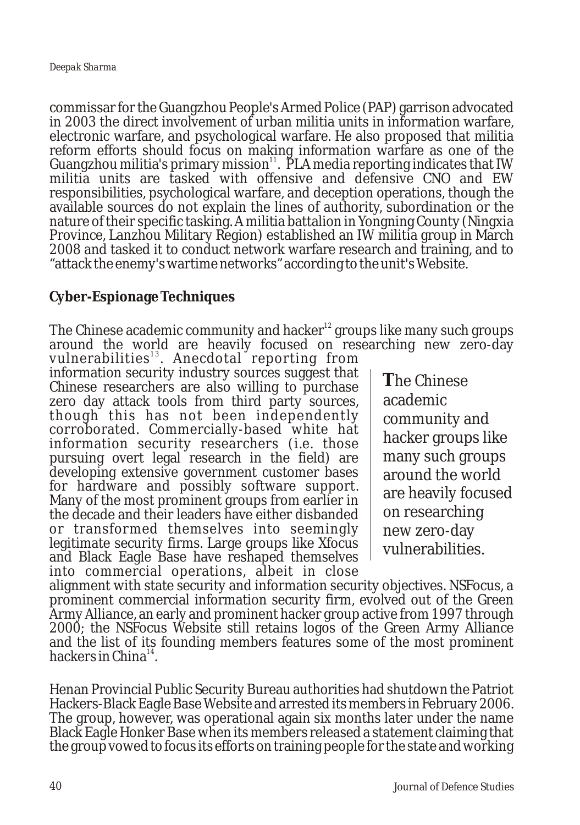commissar for the Guangzhou People's Armed Police (PAP) garrison advocated in 2003 the direct involvement of urban militia units in information warfare, electronic warfare, and psychological warfare. He also proposed that militia reform efforts should focus on making information warfare as one of the Guangzhou militia's primary mission<sup>11</sup>. PLA media reporting indicates that IW militia units are tasked with offensive and defensive CNO and EW responsibilities, psychological warfare, and deception operations, though the available sources do not explain the lines of authority, subordination or the nature of their specific tasking. A militia battalion in Yongning County (Ningxia Province, Lanzhou Military Region) established an IW militia group in March 2008 and tasked it to conduct network warfare research and training, and to "attack the enemy's wartime networks" according to the unit's Website.

### **Cyber-Espionage Techniques**

The Chinese academic community and hacker<sup>12</sup> groups like many such groups around the world are heavily focused on researching new zero-day

vulnerabilities<sup>13</sup>. Anecdotal reporting from information security industry sources suggest that Chinese researchers are also willing to purchase zero day attack tools from third party sources, though this has not been independently corroborated. Commercially-based white hat information security researchers (i.e. those pursuing overt legal research in the field) are developing extensive government customer bases for hardware and possibly software support. Many of the most prominent groups from earlier in the decade and their leaders have either disbanded or transformed themselves into seemingly legitimate security firms. Large groups like Xfocus and Black Eagle Base have reshaped themselves into commercial operations, albeit in close

**T**he Chinese academic community and hacker groups like many such groups around the world are heavily focused on researching new zero-day vulnerabilities.

alignment with state security and information security objectives. NSFocus, a prominent commercial information security firm, evolved out of the Green Army Alliance, an early and prominent hacker group active from 1997 through 2000; the NSFocus Website still retains logos of the Green Army Alliance and the list of its founding members features some of the most prominent hackers in China $\mathrm{^{14}}$ .

Henan Provincial Public Security Bureau authorities had shutdown the Patriot Hackers-Black Eagle Base Website and arrested its members in February 2006. The group, however, was operational again six months later under the name Black Eagle Honker Base when its members released a statement claiming that the group vowed to focus its efforts on training people for the state and working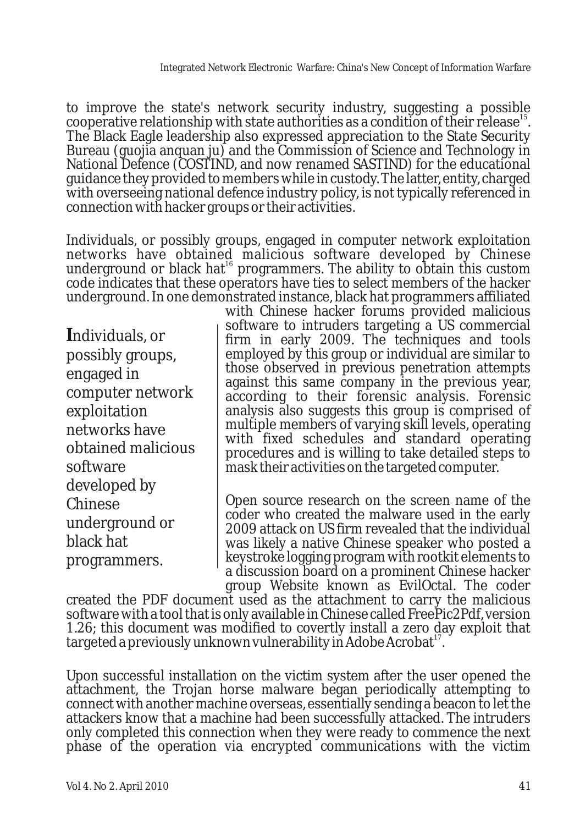to improve the state's network security industry, suggesting a possible cooperative relationship with state authorities as a condition of their release  $15$ . The Black Eagle leadership also expressed appreciation to the State Security Bureau (guojia anquan ju) and the Commission of Science and Technology in National Defence (COSTIND, and now renamed SASTIND) for the educational guidance they provided to members while in custody. The latter, entity, charged with overseeing national defence industry policy, is not typically referenced in connection with hacker groups or their activities.

Individuals, or possibly groups, engaged in computer network exploitation networks have obtained malicious software developed by Chinese underground or black hat<sup>16</sup> programmers. The ability to obtain this custom code indicates that these operators have ties to select members of the hacker underground. In one demonstrated instance, black hat programmers affiliated

**I**ndividuals, or possibly groups, engaged in computer network exploitation networks have obtained malicious software developed by Chinese underground or black hat programmers.

with Chinese hacker forums provided malicious software to intruders targeting a US commercial firm in early 2009. The techniques and tools employed by this group or individual are similar to those observed in previous penetration attempts against this same company in the previous year, according to their forensic analysis. Forensic analysis also suggests this group is comprised of multiple members of varying skill levels, operating with fixed schedules and standard operating procedures and is willing to take detailed steps to mask their activities on the targeted computer.

Open source research on the screen name of the coder who created the malware used in the early 2009 attack on US firm revealed that the individual was likely a native Chinese speaker who posted a keystroke logging program with rootkit elements to a discussion board on a prominent Chinese hacker group Website known as EvilOctal. The coder

created the PDF document used as the attachment to carry the malicious software with a tool that is only available in Chinese called FreePic2Pdf, version 1.26; this document was modified to covertly install a zero day exploit that targeted a previously unknown vulnerability in Adobe Acrobat<sup>17</sup>.

Upon successful installation on the victim system after the user opened the attachment, the Trojan horse malware began periodically attempting to connect with another machine overseas, essentially sending a beacon to let the attackers know that a machine had been successfully attacked. The intruders only completed this connection when they were ready to commence the next phase of the operation via encrypted communications with the victim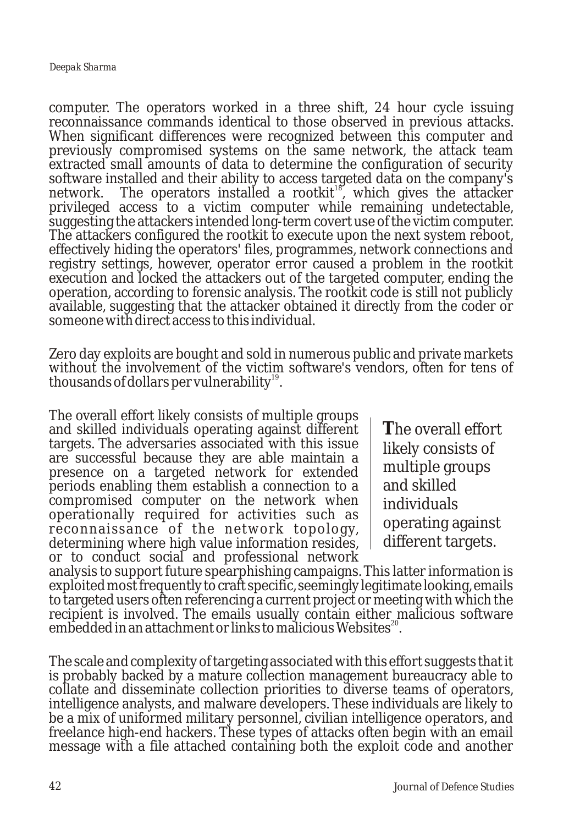computer. The operators worked in a three shift, 24 hour cycle issuing reconnaissance commands identical to those observed in previous attacks. When significant differences were recognized between this computer and previously compromised systems on the same network, the attack team extracted small amounts of data to determine the configuration of security software installed and their ability to access targeted data on the company's network. The operators installed a rootkit<sup>18</sup>, which gives the attacker privileged access to a victim computer while remaining undetectable, suggesting the attackers intended long-term covert use of the victim computer. The attackers configured the rootkit to execute upon the next system reboot, effectively hiding the operators' files, programmes, network connections and registry settings, however, operator error caused a problem in the rootkit execution and locked the attackers out of the targeted computer, ending the operation, according to forensic analysis. The rootkit code is still not publicly available, suggesting that the attacker obtained it directly from the coder or someone with direct access to this individual.

Zero day exploits are bought and sold in numerous public and private markets without the involvement of the victim software's vendors, often for tens of thousands of dollars per vulnerability $19$ .

The overall effort likely consists of multiple groups and skilled individuals operating against different targets. The adversaries associated with this issue are successful because they are able maintain a presence on a targeted network for extended periods enabling them establish a connection to a compromised computer on the network when operationally required for activities such as reconnaissance of the network topology, determining where high value information resides, or to conduct social and professional network

**T**he overall effort likely consists of multiple groups and skilled individuals operating against different targets.

analysis to support future spearphishing campaigns. This latter information is exploited most frequently to craft specific, seemingly legitimate looking, emails to targeted users often referencing a current project or meeting with which the recipient is involved. The emails usually contain either malicious software embedded in an attachment or links to malicious Websites<sup>20</sup>.

The scale and complexity of targeting associated with this effort suggests that it is probably backed by a mature collection management bureaucracy able to collate and disseminate collection priorities to diverse teams of operators, intelligence analysts, and malware developers. These individuals are likely to be a mix of uniformed military personnel, civilian intelligence operators, and freelance high-end hackers. These types of attacks often begin with an email message with a file attached containing both the exploit code and another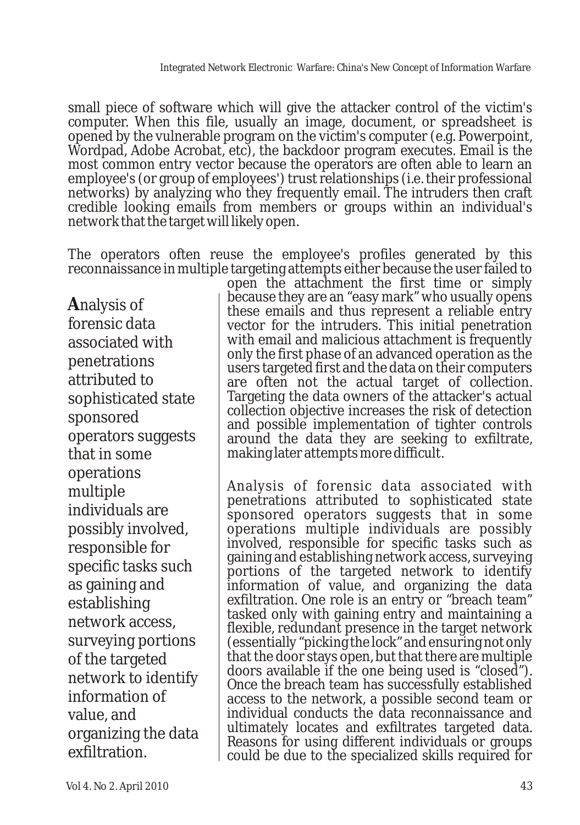small piece of software which will give the attacker control of the victim's computer. When this file, usually an image, document, or spreadsheet is opened by the vulnerable program on the victim's computer (e.g. Powerpoint, Wordpad, Adobe Acrobat, etc), the backdoor program executes. Email is the most common entry vector because the operators are often able to learn an employee's (or group of employees') trust relationships (i.e. their professional networks) by analyzing who they frequently email. The intruders then craft credible looking emails from members or groups within an individual's network that the target will likely open.

The operators often reuse the employee's profiles generated by this reconnaissance in multiple targeting attempts either because the user failed to

**A**nalysis of forensic data associated with penetrations attributed to sophisticated state sponsored operators suggests that in some operations multiple individuals are possibly involved, responsible for specific tasks such as gaining and establishing network access, surveying portions of the targeted network to identify information of value, and organizing the data exfiltration.

open the attachment the first time or simply because they are an "easy mark" who usually opens these emails and thus represent a reliable entry vector for the intruders. This initial penetration with email and malicious attachment is frequently only the first phase of an advanced operation as the users targeted first and the data on their computers are often not the actual target of collection. Targeting the data owners of the attacker's actual collection objective increases the risk of detection and possible implementation of tighter controls around the data they are seeking to exfiltrate, making later attempts more difficult.

Analysis of forensic data associated with penetrations attributed to sophisticated state sponsored operators suggests that in some operations multiple individuals are possibly involved, responsible for specific tasks such as gaining and establishing network access, surveying portions of the targeted network to identify information of value, and organizing the data exfiltration. One role is an entry or "breach team" tasked only with gaining entry and maintaining a flexible, redundant presence in the target network (essentially "picking the lock" and ensuring not only that the door stays open, but that there are multiple doors available if the one being used is "closed"). Once the breach team has successfully established access to the network, a possible second team or individual conducts the data reconnaissance and ultimately locates and exfiltrates targeted data. Reasons for using different individuals or groups could be due to the specialized skills required for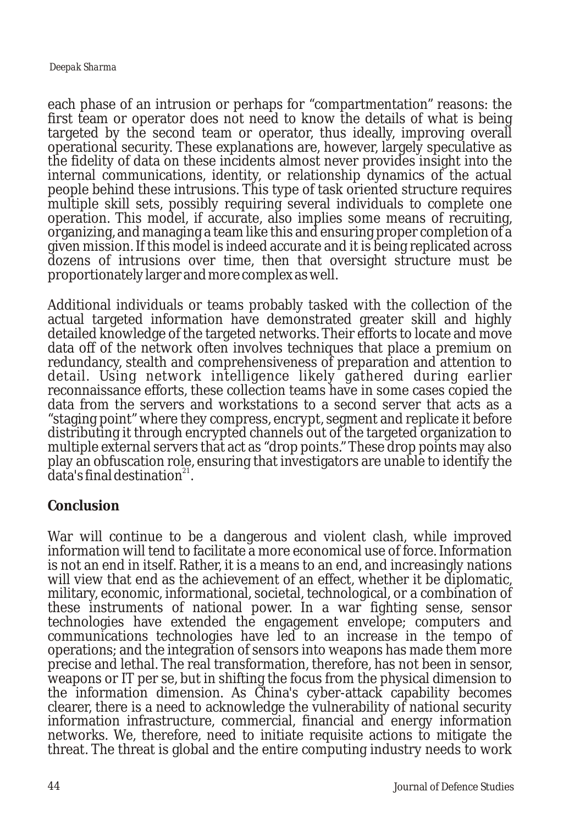each phase of an intrusion or perhaps for "compartmentation" reasons: the first team or operator does not need to know the details of what is being targeted by the second team or operator, thus ideally, improving overall operational security. These explanations are, however, largely speculative as the fidelity of data on these incidents almost never provides insight into the internal communications, identity, or relationship dynamics of the actual people behind these intrusions. This type of task oriented structure requires multiple skill sets, possibly requiring several individuals to complete one operation. This model, if accurate, also implies some means of recruiting, organizing, and managing a team like this and ensuring proper completion of a given mission. If this model is indeed accurate and it is being replicated across dozens of intrusions over time, then that oversight structure must be proportionately larger and more complex as well.

Additional individuals or teams probably tasked with the collection of the actual targeted information have demonstrated greater skill and highly detailed knowledge of the targeted networks. Their efforts to locate and move data off of the network often involves techniques that place a premium on redundancy, stealth and comprehensiveness of preparation and attention to detail. Using network intelligence likely gathered during earlier reconnaissance efforts, these collection teams have in some cases copied the data from the servers and workstations to a second server that acts as a "staging point" where they compress, encrypt, segment and replicate it before distributing it through encrypted channels out of the targeted organization to multiple external servers that act as "drop points." These drop points may also play an obfuscation role, ensuring that investigators are unable to identify the data's final destination<sup>21</sup>.

## **Conclusion**

War will continue to be a dangerous and violent clash, while improved information will tend to facilitate a more economical use of force. Information is not an end in itself. Rather, it is a means to an end, and increasingly nations will view that end as the achievement of an effect, whether it be diplomatic, military, economic, informational, societal, technological, or a combination of these instruments of national power. In a war fighting sense, sensor technologies have extended the engagement envelope; computers and communications technologies have led to an increase in the tempo of operations; and the integration of sensors into weapons has made them more precise and lethal. The real transformation, therefore, has not been in sensor, weapons or IT per se, but in shifting the focus from the physical dimension to the information dimension. As China's cyber-attack capability becomes clearer, there is a need to acknowledge the vulnerability of national security information infrastructure, commercial, financial and energy information networks. We, therefore, need to initiate requisite actions to mitigate the threat. The threat is global and the entire computing industry needs to work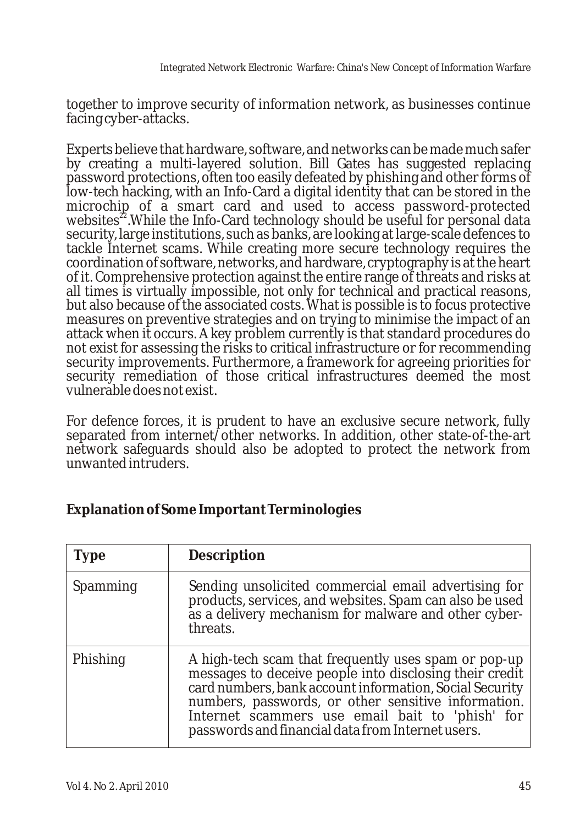together to improve security of information network, as businesses continue facing cyber-attacks.

Experts believe that hardware, software, and networks can be made much safer by creating a multi-layered solution. Bill Gates has suggested replacing password protections, often too easily defeated by phishing and other forms of low-tech hacking, with an Info-Card a digital identity that can be stored in the microchip of a smart card and used to access password-protected websites<sup>22</sup>. While the Info-Card technology should be useful for personal data security, large institutions, such as banks, are looking at large-scale defences to tackle Internet scams. While creating more secure technology requires the coordination of software, networks, and hardware, cryptography is at the heart of it. Comprehensive protection against the entire range of threats and risks at all times is virtually impossible, not only for technical and practical reasons, but also because of the associated costs. What is possible is to focus protective measures on preventive strategies and on trying to minimise the impact of an attack when it occurs. A key problem currently is that standard procedures do not exist for assessing the risks to critical infrastructure or for recommending security improvements. Furthermore, a framework for agreeing priorities for security remediation of those critical infrastructures deemed the most vulnerable does not exist.

For defence forces, it is prudent to have an exclusive secure network, fully separated from internet/other networks. In addition, other state-of-the-art network safeguards should also be adopted to protect the network from unwanted intruders.

| Type     | Description                                                                                                                                                                                                                                                                                                                               |
|----------|-------------------------------------------------------------------------------------------------------------------------------------------------------------------------------------------------------------------------------------------------------------------------------------------------------------------------------------------|
| Spamming | Sending unsolicited commercial email advertising for<br>products, services, and websites. Spam can also be used<br>as a delivery mechanism for malware and other cyber-<br>threats.                                                                                                                                                       |
| Phishing | A high-tech scam that frequently uses spam or pop-up<br>messages to deceive people into disclosing their credit<br>card numbers, bank account information, Social Security<br>numbers, passwords, or other sensitive information.<br>Internet scammers use email bait to 'phish' for<br>passwords and financial data from Internet users. |

**Explanation of Some Important Terminologies**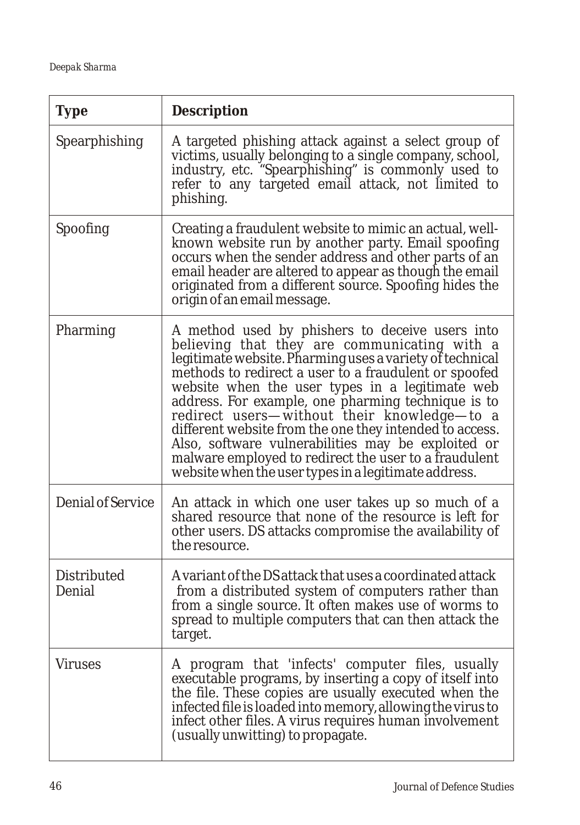| Type                         | Description                                                                                                                                                                                                                                                                                                                                                                                                                                                                                                                                                                                                 |
|------------------------------|-------------------------------------------------------------------------------------------------------------------------------------------------------------------------------------------------------------------------------------------------------------------------------------------------------------------------------------------------------------------------------------------------------------------------------------------------------------------------------------------------------------------------------------------------------------------------------------------------------------|
| Spearphishing                | A targeted phishing attack against a select group of<br>victims, usually belonging to a single company, school,<br>industry, etc. "Spearphishing" is commonly used to<br>refer to any targeted email attack, not limited to<br>phishing.                                                                                                                                                                                                                                                                                                                                                                    |
| Spoofing                     | Creating a fraudulent website to mimic an actual, well-<br>known website run by another party. Email spoofing<br>occurs when the sender address and other parts of an<br>email header are altered to appear as though the email<br>originated from a different source. Spoofing hides the<br>origin of an email message.                                                                                                                                                                                                                                                                                    |
| Pharming                     | A method used by phishers to deceive users into<br>believing that they are communicating with a<br>legitimate website. Pharming uses a variety of technical<br>methods to redirect a user to a fraudulent or spoofed<br>website when the user types in a legitimate web<br>address. For example, one pharming technique is to<br>redirect users-without their knowledge-to a<br>different website from the one they intended to access.<br>Also, software vulnerabilities may be exploited or malware employed to redirect the user to a fraudulent<br>website when the user types in a legitimate address. |
| Denial of Service            | An attack in which one user takes up so much of a<br>shared resource that none of the resource is left for<br>other users. DS attacks compromise the availability of<br>the resource.                                                                                                                                                                                                                                                                                                                                                                                                                       |
| <b>Distributed</b><br>Denial | A variant of the DS attack that uses a coordinated attack<br>from a distributed system of computers rather than<br>from a single source. It often makes use of worms to<br>spread to multiple computers that can then attack the<br>target.                                                                                                                                                                                                                                                                                                                                                                 |
| <b>Viruses</b>               | A program that 'infects' computer files, usually<br>executable programs, by inserting a copy of itself into<br>the file. These copies are usually executed when the<br>infected file is loaded into memory, allowing the virus to<br>infect other files. A virus requires human involvement<br>(usually unwitting) to propagate.                                                                                                                                                                                                                                                                            |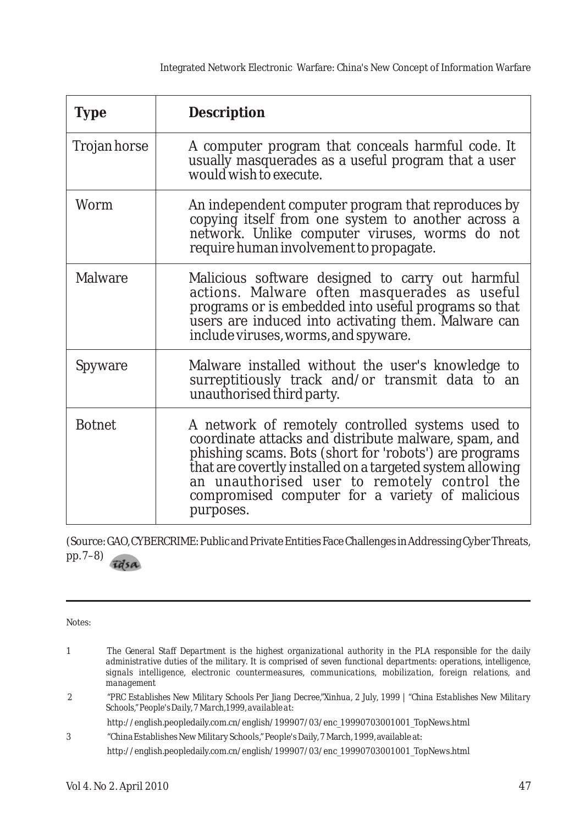| Type          | Description                                                                                                                                                                                                                                                                                                                                     |
|---------------|-------------------------------------------------------------------------------------------------------------------------------------------------------------------------------------------------------------------------------------------------------------------------------------------------------------------------------------------------|
| Trojan horse  | A computer program that conceals harmful code. It<br>usually masquerades as a useful program that a user<br>would wish to execute.                                                                                                                                                                                                              |
| Worm          | An independent computer program that reproduces by<br>copying itself from one system to another across a<br>network. Unlike computer viruses, worms do not<br>require human involvement to propagate.                                                                                                                                           |
| Malware       | Malicious software designed to carry out harmful actions. Malware often masquerades as useful<br>programs or is embedded into useful programs so that<br>users are induced into activating them. Malware can<br>include viruses, worms, and spyware.                                                                                            |
| Spyware       | Malware installed without the user's knowledge to<br>surreptitiously track and/or transmit data to an<br>unauthorised third party.                                                                                                                                                                                                              |
| <b>Botnet</b> | A network of remotely controlled systems used to<br>coordinate attacks and distribute malware, spam, and<br>phishing scams. Bots (short for 'robots') are programs<br>that are covertly installed on a targeted system allowing<br>an unauthorised user to remotely control the<br>compromised computer for a variety of malicious<br>purposes. |

(Source: GAO, CYBERCRIME: Public and Private Entities Face Challenges in Addressing Cyber Threats, pp.7–8) īdsa

Notes:

3 "China Establishes New Military Schools," People's Daily, 7 March, 1999, available at:

<sup>1</sup> *The General Staff Department is the highest organizational authority in the PLA responsible for the daily administrative duties of the military. It is comprised of seven functional departments: operations, intelligence, signals intelligence, electronic countermeasures, communications, mobilization, foreign relations, and management*

<sup>2</sup> *"PRC Establishes New Military Schools Per Jiang Decree,"Xinhua, 2 July, 1999 | "China Establishes New Military Schools," People's Daily, 7 March,1999, available at:*

http://english.peopledaily.com.cn/english/199907/03/enc\_19990703001001\_TopNews.html

http://english.peopledaily.com.cn/english/199907/03/enc\_19990703001001\_TopNews.html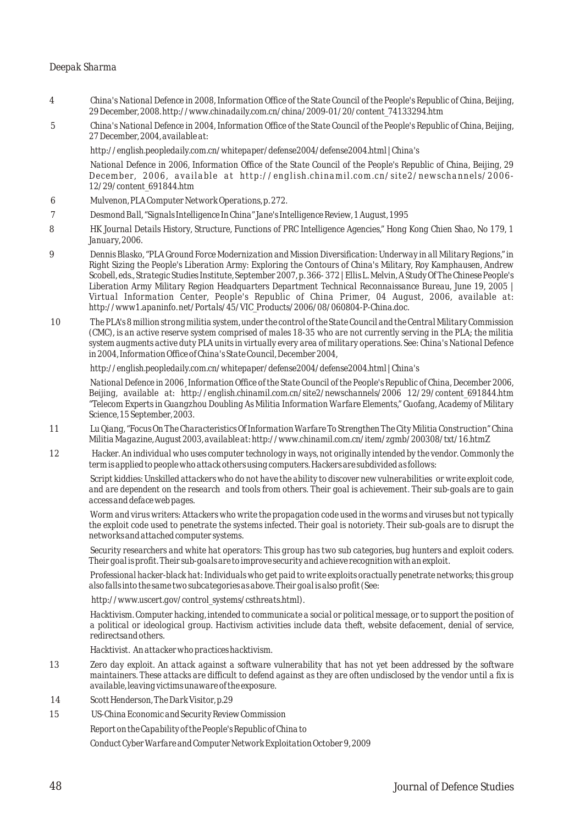#### *Deepak Sharma*

- 4 *China's National Defence in 2008, Information Office of the State Council of the People's Republic of China, Beijing, 29 December, 2008. http://www.chinadaily.com.cn/china/2009-01/20/content\_74133294.htm*
- 5 *China's National Defence in 2004, Information Office of the State Council of the People's Republic of China, Beijing, 27 December, 2004, available at:*

*http://english.peopledaily.com.cn/whitepaper/defense2004/defense2004.html | China's*

*National Defence in 2006, Information Office of the State Council of the People's Republic of China, Beijing, 29 December, 2006, available at http://english.chinamil.com.cn/site2/newschannels/2006- 12/29/content\_691844.htm*

- 6 *Mulvenon, PLA Computer Network Operations, p. 272.*
- 7 *Desmond Ball, "Signals Intelligence In China" Jane's Intelligence Review, 1 August, 1995*
- 8 *HK Journal Details History, Structure, Functions of PRC Intelligence Agencies," Hong Kong Chien Shao, No 179, 1 January, 2006.*
- 9 *Dennis Blasko, "PLA Ground Force Modernization and Mission Diversification: Underway in all Military Regions," in Right Sizing the People's Liberation Army: Exploring the Contours of China's Military, Roy Kamphausen, Andrew Scobell, eds., Strategic Studies Institute, September 2007, p. 366- 372 | Ellis L. Melvin, A Study Of The Chinese People's Liberation Army Military Region Headquarters Department Technical Reconnaissance Bureau, June 19, 2005 | Virtual Information Center, People's Republic of China Primer, 04 August, 2006, available at: http://www1.apaninfo. net/Portals/45/VIC\_Products/2006/08/060804-P-China.doc.*
- 10 *The PLA's 8 million strong militia system, under the control of the State Council and the Central Military Commission (CMC), is an active reserve system comprised of males 18-35 who are not currently serving in the PLA; the militia system augments active duty PLA units in virtually every area of military operations. See: China's National Defence in 2004, Information Office of China's State Council, December 2004,*

*http://english.peopledaily.com.cn/whitepaper/defense2004/defense2004.html | China's*

*National Defence in 2006¸ Information Office of the State Council of the People's Republic of China, December 2006, Beijing, available at: http://english.chinamil.com.cn/site2/newschannels/2006 12/29/content\_691844.htm "Telecom Experts in Guangzhou Doubling As Militia Information Warfare Elements," Guofang, Academy of Military Science, 15 September, 2003.*

- 11 *Lu Qiang, "Focus On The Characteristics Of Information Warfare To Strengthen The City Militia Construction" China Militia Magazine, August 2003, available at: http://www.chinamil.com.cn/item/zgmb/200308/txt/16.htmZ*
- 12 *Hacker. An individual who uses computer technology in ways, not originally intended by the vendor. Commonly the term is applied to people who attack others using computers. Hackers are subdivided as follows:*

*Script kiddies: Unskilled attackers who do not have the ability to discover new vulnerabilities or write exploit code, and are dependent on the research and tools from others. Their goal is achievement. Their sub-goals are to gain access and deface web pages.*

*Worm and virus writers: Attackers who write the propagation code used in the worms and viruses but not typically the exploit code used to penetrate the systems infected. Their goal is notoriety. Their sub-goals are to disrupt the networks and attached computer systems.*

*Security researchers and white hat operators: This group has two sub categories, bug hunters and exploit coders. Their goal is profit. Their sub-goals are to improve security and achieve recognition with an exploit.*

*Professional hacker-black hat: Individuals who get paid to write exploits oractually penetrate networks;this group also falls into the same two subcategories as above. Their goal is also profit (See:*

*http://www.uscert.gov/control\_systems/csthreats.html).*

*Hacktivism. Computer hacking, intended to communicate a social or politicalmessage, or to support the position of a political or ideological group. Hactivism activities include data theft, website defacement, denial of service, redirectsand others.*

*Hacktivist. An attacker who practices hacktivism.*

- 13 *Zero day exploit. An attack against a software vulnerability that has not yet been addressed by the software maintainers. These attacks are difficult to defend against as they are often undisclosed by the vendor until a fix is available, leaving victims unaware of the exposure.*
- 14 *Scott Henderson, The Dark Visitor, p.29*
- 15 *US-China Economic and Security Review Commission*

*Report on the Capability of the People's Republic of China to*

*Conduct Cyber Warfare and Computer Network Exploitation October 9, 2009*